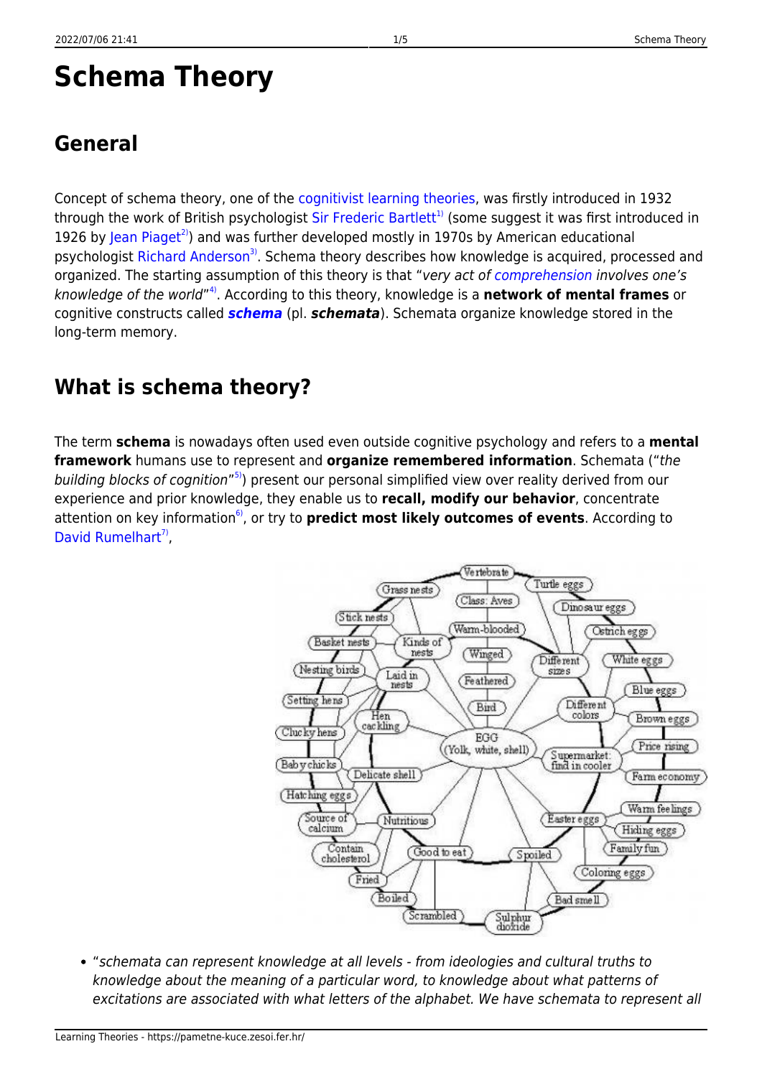# **Schema Theory**

# **General**

Concept of schema theory, one of the [cognitivist learning theories](https://pametne-kuce.zesoi.fer.hr/doku.php?id=learning_paradigms:cognitivism#learning_theories), was firstly introduced in 1932 through the work of British psychologist [Sir Frederic Bartlett](http://www.ppsis.cam.ac.uk/bartlett/)<sup>[1\)](#page--1-0)</sup> (some suggest it was first introduced in 1926 by [Jean Piaget](http://www.piaget.org/aboutPiaget.html)<sup>[2\)](#page--1-0)</sup>) and was further developed mostly in 1970s by American educational psychologist [Richard Anderson](http://www.education.com/reference/article/anderson-richard-chase-1934-/)<sup>[3\)](#page--1-0)</sup>. Schema theory describes how knowledge is acquired, processed and organized. The starting assumption of this theory is that "very act of [comprehension](https://pametne-kuce.zesoi.fer.hr/doku.php?id=glossary#comprehension) involves one's knowledge of the world" [4\)](#page--1-0). According to this theory, knowledge is a **network of mental frames** or cognitive constructs called *[schema](https://pametne-kuce.zesoi.fer.hr/doku.php?id=glossary#schema)* (pl. *schemata*). Schemata organize knowledge stored in the long-term memory.

### **What is schema theory?**

The term **schema** is nowadays often used even outside cognitive psychology and refers to a **mental framework** humans use to represent and **organize remembered information**. Schemata ("the building blocks of cognition"<sup>[5\)](#page--1-0)</sup>) present our personal simplified view over reality derived from our experience and prior knowledge, they enable us to **recall, modify our behavior**, concentrate attention on key information<sup>6</sup>, or try to **predict most likely outcomes of events**. According to [David Rumelhart](http://rumelhartprize.org/biography.htm)<sup>7</sup>,



"schemata can represent knowledge at all levels - from ideologies and cultural truths to knowledge about the meaning of a particular word, to knowledge about what patterns of excitations are associated with what letters of the alphabet. We have schemata to represent all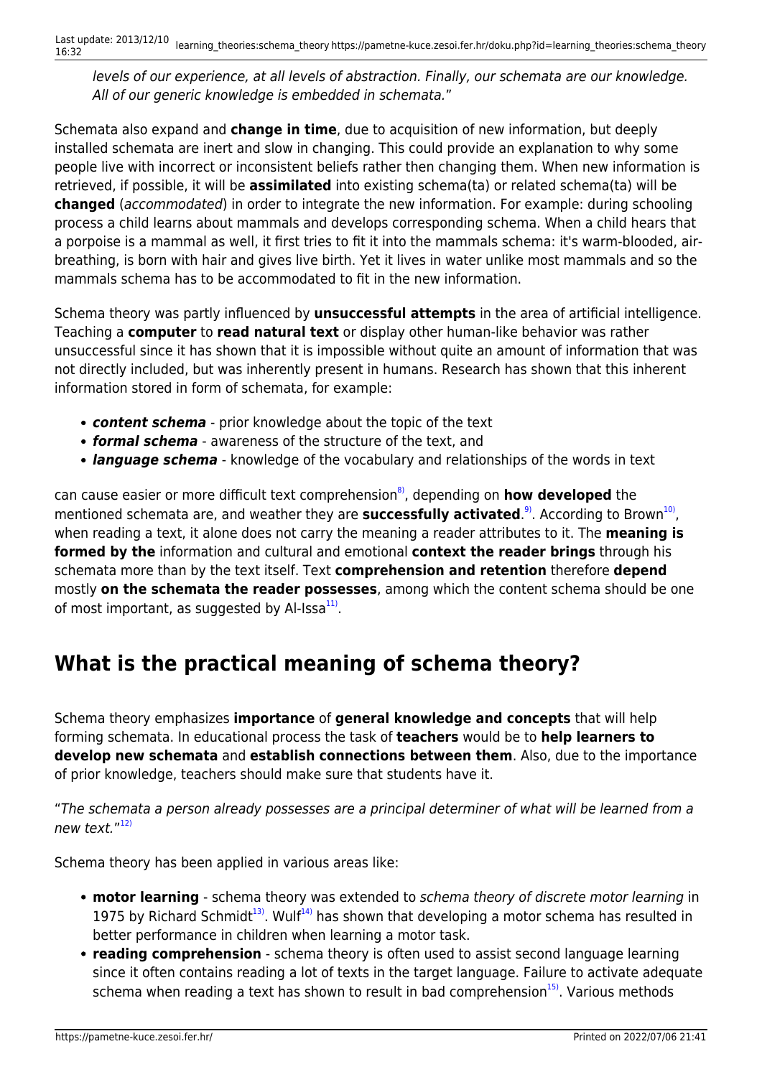levels of our experience, at all levels of abstraction. Finally, our schemata are our knowledge. All of our generic knowledge is embedded in schemata."

Schemata also expand and **change in time**, due to acquisition of new information, but deeply installed schemata are inert and slow in changing. This could provide an explanation to why some people live with incorrect or inconsistent beliefs rather then changing them. When new information is retrieved, if possible, it will be **assimilated** into existing schema(ta) or related schema(ta) will be **changed** (accommodated) in order to integrate the new information. For example: during schooling process a child learns about mammals and develops corresponding schema. When a child hears that a porpoise is a mammal as well, it first tries to fit it into the mammals schema: it's warm-blooded, airbreathing, is born with hair and gives live birth. Yet it lives in water unlike most mammals and so the mammals schema has to be accommodated to fit in the new information.

Schema theory was partly influenced by **unsuccessful attempts** in the area of artificial intelligence. Teaching a **computer** to **read natural text** or display other human-like behavior was rather unsuccessful since it has shown that it is impossible without quite an amount of information that was not directly included, but was inherently present in humans. Research has shown that this inherent information stored in form of schemata, for example:

- *content schema* prior knowledge about the topic of the text
- *formal schema* awareness of the structure of the text, and
- *language schema* knowledge of the vocabulary and relationships of the words in text

can cause easier or more difficult text comprehension<sup>8</sup>, depending on **how developed** the mentioned schemata are, and weather they are **successfully activated**.<sup>9</sup>. According to Brown<sup>10</sup>, when reading a text, it alone does not carry the meaning a reader attributes to it. The **meaning is formed by the** information and cultural and emotional **context the reader brings** through his schemata more than by the text itself. Text **comprehension and retention** therefore **depend** mostly **on the schemata the reader possesses**, among which the content schema should be one of most important, as suggested by Al-Issa<sup>[11\)](#page--1-0)</sup>.

#### **What is the practical meaning of schema theory?**

Schema theory emphasizes **importance** of **general knowledge and concepts** that will help forming schemata. In educational process the task of **teachers** would be to **help learners to develop new schemata** and **establish connections between them**. Also, due to the importance of prior knowledge, teachers should make sure that students have it.

"The schemata a person already possesses are a principal determiner of what will be learned from a new text."<sup>[12\)](#page--1-0)</sup>

Schema theory has been applied in various areas like:

- **motor learning** schema theory was extended to schema theory of discrete motor learning in 1975 by Richard Schmidt<sup>[13\)](#page--1-0)</sup>. Wulf<sup>[14\)](#page--1-0)</sup> has shown that developing a motor schema has resulted in better performance in children when learning a motor task.
- **reading comprehension** schema theory is often used to assist second language learning since it often contains reading a lot of texts in the target language. Failure to activate adequate schema when reading a text has shown to result in bad comprehension $15$ ). Various methods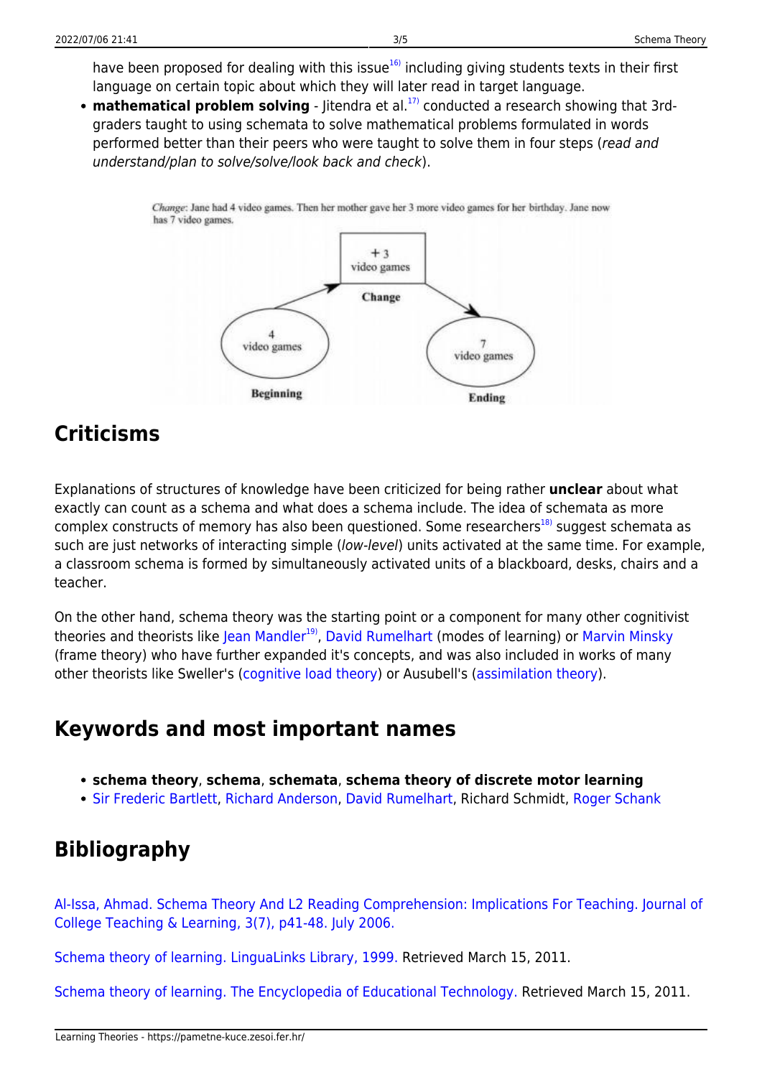have been proposed for dealing with this issue $16$  including giving students texts in their first language on certain topic about which they will later read in target language.

• **mathematical problem solving** - Jitendra et al.<sup>[17\)](#page--1-0)</sup> conducted a research showing that 3rdgraders taught to using schemata to solve mathematical problems formulated in words performed better than their peers who were taught to solve them in four steps (read and understand/plan to solve/solve/look back and check).

> Change: Jane had 4 video games. Then her mother gave her 3 more video games for her birthday. Jane now has 7 video games.



### **Criticisms**

Explanations of structures of knowledge have been criticized for being rather **unclear** about what exactly can count as a schema and what does a schema include. The idea of schemata as more complex constructs of memory has also been questioned. Some researchers<sup>[18\)](#page--1-0)</sup> suggest schemata as such are just networks of interacting simple (low-level) units activated at the same time. For example, a classroom schema is formed by simultaneously activated units of a blackboard, desks, chairs and a teacher.

On the other hand, schema theory was the starting point or a component for many other cognitivist theories and theorists like [Jean Mandler](http://www.cogsci.ucsd.edu/~jean/)<sup>[19\)](#page--1-0)</sup>, [David Rumelhart](http://rumelhartprize.org/biography.htm) (modes of learning) or [Marvin Minsky](http://web.media.mit.edu/~minsky/) (frame theory) who have further expanded it's concepts, and was also included in works of many other theorists like Sweller's ([cognitive load theory](https://pametne-kuce.zesoi.fer.hr/doku.php?id=learning_theories:cognitive_load_theory)) or Ausubell's ([assimilation theory](https://pametne-kuce.zesoi.fer.hr/doku.php?id=learning_theories:assimilation_theory)).

#### **Keywords and most important names**

- **schema theory**, **schema**, **schemata**, **schema theory of discrete motor learning**
- [Sir Frederic Bartlett,](http://www.ppsis.cam.ac.uk/bartlett/) [Richard Anderson,](http://www.education.com/reference/article/anderson-richard-chase-1934-/) [David Rumelhart,](http://rumelhartprize.org/biography.htm) Richard Schmidt, [Roger Schank](http://www.rogerschank.com/)

# **Bibliography**

[Al-Issa, Ahmad. Schema Theory And L2 Reading Comprehension: Implications For Teaching. Journal of](http://www.cluteinstitute-onlinejournals.com/PDFs/2006100.pdf) [College Teaching & Learning, 3\(7\), p41-48. July 2006.](http://www.cluteinstitute-onlinejournals.com/PDFs/2006100.pdf)

[Schema theory of learning. LinguaLinks Library, 1999.](http://www.sil.org/lingualinks/literacy/implementaliteracyprogram/schematheoryoflearning.htm) Retrieved March 15, 2011.

[Schema theory of learning. The Encyclopedia of Educational Technology.](http://eet.sdsu.edu/eetwiki/index.php/Schema_theory_of_learning) Retrieved March 15, 2011.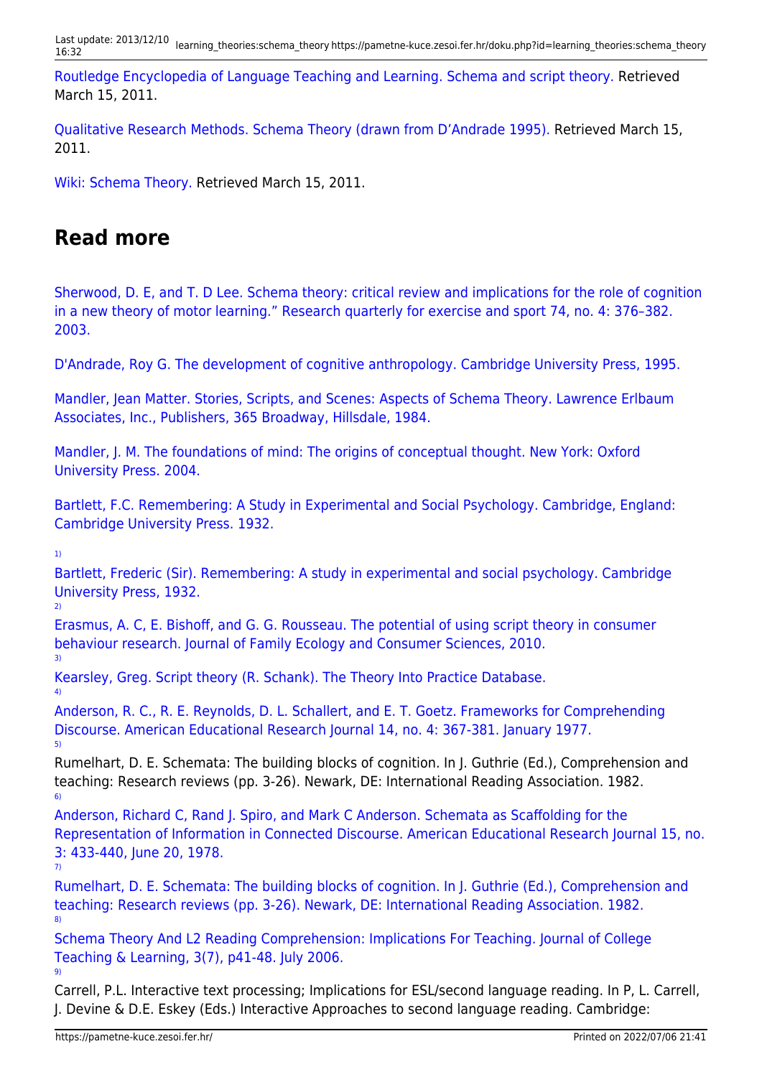[Routledge Encyclopedia of Language Teaching and Learning. Schema and script theory.](http://www.bookrags.com/tandf/schema-and-script-theory-tf/) Retrieved March 15, 2011.

[Qualitative Research Methods. Schema Theory \(drawn from D'Andrade 1995\).](http://www.analytictech.com/mb870/schema.htm) Retrieved March 15, 2011.

[Wiki: Schema Theory.](http://red6747.pbworks.com/w/page/8523053/Schema-Theory) Retrieved March 15, 2011.

#### **Read more**

[Sherwood, D. E, and T. D Lee. Schema theory: critical review and implications for the role of cognition](http://www.science.mcmaster.ca/kinesiology/images/stories/Sherwood202620Lee20RQES.pdf) [in a new theory of motor learning." Research quarterly for exercise and sport 74, no. 4: 376–382.](http://www.science.mcmaster.ca/kinesiology/images/stories/Sherwood202620Lee20RQES.pdf) [2003.](http://www.science.mcmaster.ca/kinesiology/images/stories/Sherwood202620Lee20RQES.pdf)

[D'Andrade, Roy G. The development of cognitive anthropology. Cambridge University Press, 1995.](http://www.google.com/books?id=2QCWe2r-pvwC)

[Mandler, Jean Matter. Stories, Scripts, and Scenes: Aspects of Schema Theory. Lawrence Erlbaum](http://books.google.com/books?id=9KvHdk6TwA0C) [Associates, Inc., Publishers, 365 Broadway, Hillsdale, 1984.](http://books.google.com/books?id=9KvHdk6TwA0C)

[Mandler, J. M. The foundations of mind: The origins of conceptual thought. New York: Oxford](http://books.google.com/books?id=3yLYAAAAMAAJ) [University Press. 2004.](http://books.google.com/books?id=3yLYAAAAMAAJ)

[Bartlett, F.C. Remembering: A Study in Experimental and Social Psychology. Cambridge, England:](http://www.ppsis.cam.ac.uk/bartlett/RememberingBook.htm) [Cambridge University Press. 1932.](http://www.ppsis.cam.ac.uk/bartlett/RememberingBook.htm)

[1\)](#page--1-0)

[4\)](#page--1-0)

[9\)](#page--1-0)

[Bartlett, Frederic \(Sir\). Remembering: A study in experimental and social psychology. Cambridge](http://www.ppsis.cam.ac.uk/bartlett/TheoryOfRemembering.htm) [University Press, 1932.](http://www.ppsis.cam.ac.uk/bartlett/TheoryOfRemembering.htm) [2\)](#page--1-0)

[Erasmus, A. C, E. Bishoff, and G. G. Rousseau. The potential of using script theory in consumer](http://www.up.ac.za/saafecs/vol30/erasmus.pdf) [behaviour research. Journal of Family Ecology and Consumer Sciences, 2010.](http://www.up.ac.za/saafecs/vol30/erasmus.pdf) [3\)](#page--1-0)

[Kearsley, Greg. Script theory \(R. Schank\). The Theory Into Practice Database.](http://tip.psychology.org/schank.html)

[Anderson, R. C., R. E. Reynolds, D. L. Schallert, and E. T. Goetz. Frameworks for Comprehending](http://aer.sagepub.com/content/14/4/367.abstract) [Discourse. American Educational Research Journal 14, no. 4: 367-381. January 1977.](http://aer.sagepub.com/content/14/4/367.abstract) [5\)](#page--1-0)

Rumelhart, D. E. Schemata: The building blocks of cognition. In J. Guthrie (Ed.), Comprehension and teaching: Research reviews (pp. 3-26). Newark, DE: International Reading Association. 1982. [6\)](#page--1-0)

[Anderson, Richard C, Rand J. Spiro, and Mark C Anderson. Schemata as Scaffolding for the](https://test.ideals.illinois.edu/bitstream/handle/123456789/8028/ctrstreadtechrepv01977i00024_opt.pdf) [Representation of Information in Connected Discourse. American Educational Research Journal 15, no.](https://test.ideals.illinois.edu/bitstream/handle/123456789/8028/ctrstreadtechrepv01977i00024_opt.pdf) [3: 433-440, June 20, 1978.](https://test.ideals.illinois.edu/bitstream/handle/123456789/8028/ctrstreadtechrepv01977i00024_opt.pdf) [7\)](#page--1-0)

[Rumelhart, D. E. Schemata: The building blocks of cognition. In J. Guthrie \(Ed.\), Comprehension and](http://books.google.hr/books?id=WtKcAAAAMAAJ) [teaching: Research reviews \(pp. 3-26\). Newark, DE: International Reading Association. 1982.](http://books.google.hr/books?id=WtKcAAAAMAAJ) [8\)](#page--1-0)

[Schema Theory And L2 Reading Comprehension: Implications For Teaching. Journal of College](http://www.cluteinstitute-onlinejournals.com/PDFs/2006100.pdf) [Teaching & Learning, 3\(7\), p41-48. July 2006.](http://www.cluteinstitute-onlinejournals.com/PDFs/2006100.pdf)

Carrell, P.L. Interactive text processing; Implications for ESL/second language reading. In P, L. Carrell, J. Devine & D.E. Eskey (Eds.) Interactive Approaches to second language reading. Cambridge: